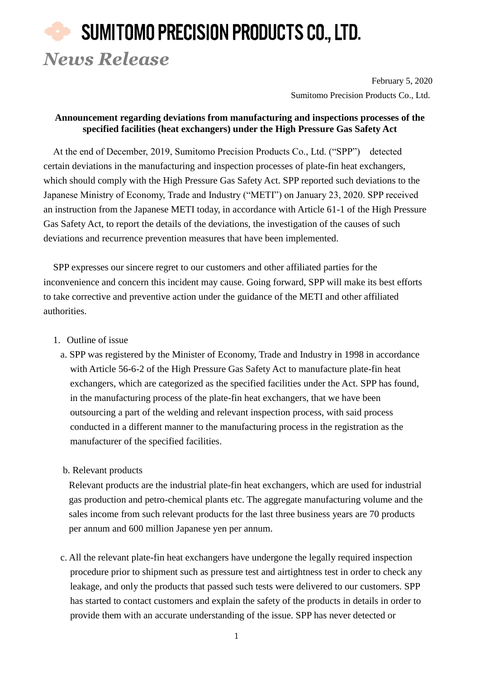## SUMITOMO PRECISION PRODUCTS CO., LTD. *News Release*

February 5, 2020 Sumitomo Precision Products Co., Ltd.

## **Announcement regarding deviations from manufacturing and inspections processes of the specified facilities (heat exchangers) under the High Pressure Gas Safety Act**

At the end of December, 2019, Sumitomo Precision Products Co., Ltd. ("SPP") detected certain deviations in the manufacturing and inspection processes of plate-fin heat exchangers, which should comply with the High Pressure Gas Safety Act. SPP reported such deviations to the Japanese Ministry of Economy, Trade and Industry ("METI") on January 23, 2020. SPP received an instruction from the Japanese METI today, in accordance with Article 61-1 of the High Pressure Gas Safety Act, to report the details of the deviations, the investigation of the causes of such deviations and recurrence prevention measures that have been implemented.

SPP expresses our sincere regret to our customers and other affiliated parties for the inconvenience and concern this incident may cause. Going forward, SPP will make its best efforts to take corrective and preventive action under the guidance of the METI and other affiliated authorities.

- 1. Outline of issue
	- a. SPP was registered by the Minister of Economy, Trade and Industry in 1998 in accordance with Article 56-6-2 of the High Pressure Gas Safety Act to manufacture plate-fin heat exchangers, which are categorized as the specified facilities under the Act. SPP has found, in the manufacturing process of the plate-fin heat exchangers, that we have been outsourcing a part of the welding and relevant inspection process, with said process conducted in a different manner to the manufacturing process in the registration as the manufacturer of the specified facilities.
	- b. Relevant products

Relevant products are the industrial plate-fin heat exchangers, which are used for industrial gas production and petro-chemical plants etc. The aggregate manufacturing volume and the sales income from such relevant products for the last three business years are 70 products per annum and 600 million Japanese yen per annum.

c. All the relevant plate-fin heat exchangers have undergone the legally required inspection procedure prior to shipment such as pressure test and airtightness test in order to check any leakage, and only the products that passed such tests were delivered to our customers. SPP has started to contact customers and explain the safety of the products in details in order to provide them with an accurate understanding of the issue. SPP has never detected or